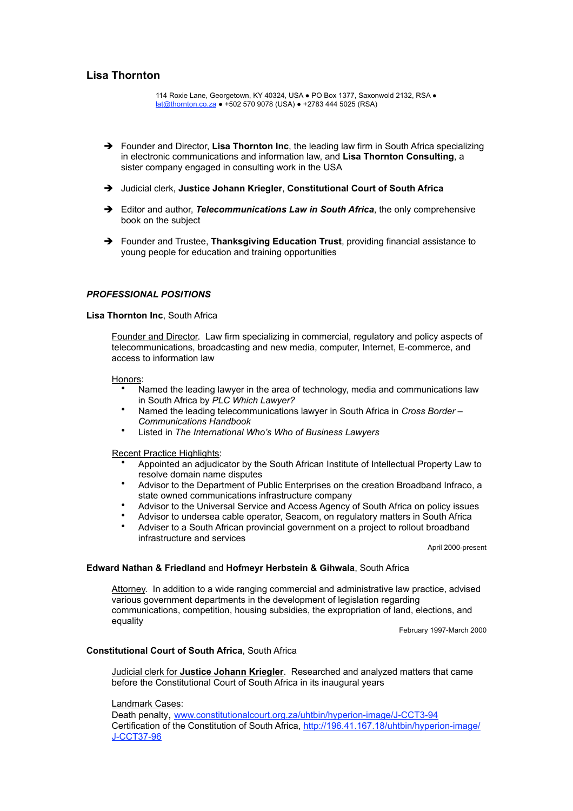# **Lisa Thornton**

114 Roxie Lane, Georgetown, KY 40324, USA ● PO Box 1377, Saxonwold 2132, RSA ● [lat@thornton.co.za](mailto:lat@thornton.co.za) ● +502 570 9078 (USA) ● +2783 444 5025 (RSA)

- → Founder and Director, **Lisa Thornton Inc**, the leading law firm in South Africa specializing in electronic communications and information law, and **Lisa Thornton Consulting**, a sister company engaged in consulting work in the USA
- Judicial clerk, **Justice Johann Kriegler**, **Constitutional Court of South Africa**
- Editor and author, *Telecommunications Law in South Africa*, the only comprehensive book on the subject
- → Founder and Trustee, **Thanksgiving Education Trust**, providing financial assistance to young people for education and training opportunities

## *PROFESSIONAL POSITIONS*

#### **Lisa Thornton Inc**, South Africa

Founder and Director. Law firm specializing in commercial, regulatory and policy aspects of telecommunications, broadcasting and new media, computer, Internet, E-commerce, and access to information law

#### Honors:

- Named the leading lawyer in the area of technology, media and communications law in South Africa by *PLC Which Lawyer?*
- Named the leading telecommunications lawyer in South Africa in *Cross Border Communications Handbook*
- Listed in *The International Who's Who of Business Lawyers*

Recent Practice Highlights:

- Appointed an adjudicator by the South African Institute of Intellectual Property Law to resolve domain name disputes
- Advisor to the Department of Public Enterprises on the creation Broadband Infraco, a state owned communications infrastructure company
- Advisor to the Universal Service and Access Agency of South Africa on policy issues
- Advisor to undersea cable operator, Seacom, on regulatory matters in South Africa
- Adviser to a South African provincial government on a project to rollout broadband infrastructure and services

April 2000-present

## **Edward Nathan & Friedland** and **Hofmeyr Herbstein & Gihwala**, South Africa

Attorney. In addition to a wide ranging commercial and administrative law practice, advised various government departments in the development of legislation regarding communications, competition, housing subsidies, the expropriation of land, elections, and equality

February 1997-March 2000

#### **Constitutional Court of South Africa**, South Africa

Judicial clerk for **Justice Johann Kriegler**. Researched and analyzed matters that came before the Constitutional Court of South Africa in its inaugural years

#### Landmark Cases:

Death penalty, [www.constitutionalcourt.org.za/uhtbin/hyperion-image/J-CCT3-94](http://www.constitutionalcourt.org.za/uhtbin/hyperion-image/J-CCT3-94) Certification of the Constitution of South Africa, [http://196.41.167.18/uhtbin/hyperion-image/](http://196.41.167.18/uhtbin/hyperion-image/J-CCT37-96) [J-CCT37-96](http://196.41.167.18/uhtbin/hyperion-image/J-CCT37-96)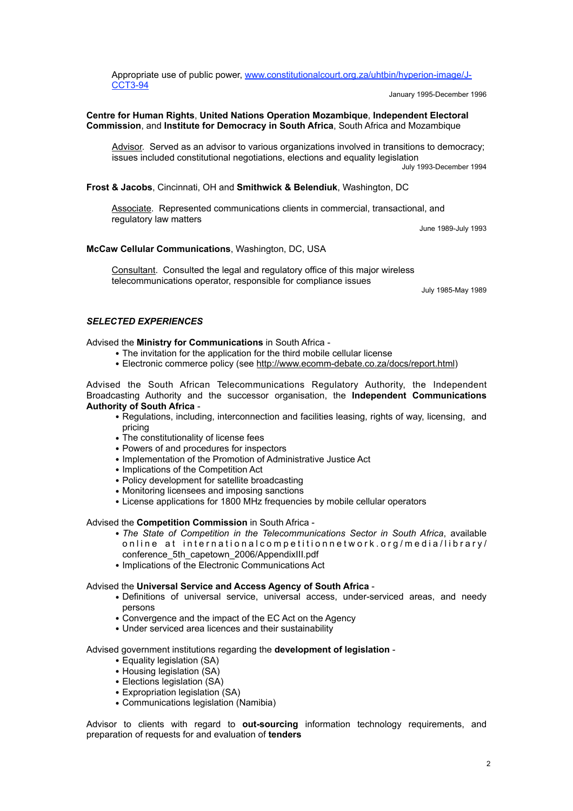Appropriate use of public power, [www.constitutionalcourt.org.za/uhtbin/hyperion-image/J-](http://www.constitutionalcourt.org.za/uhtbin/hyperion-image/J-CCT3-94)[CCT3-94](http://www.constitutionalcourt.org.za/uhtbin/hyperion-image/J-CCT3-94)

January 1995-December 1996

## **Centre for Human Rights**, **United Nations Operation Mozambique**, **Independent Electoral Commission**, and **Institute for Democracy in South Africa**, South Africa and Mozambique

Advisor. Served as an advisor to various organizations involved in transitions to democracy; issues included constitutional negotiations, elections and equality legislation July 1993-December 1994

## **Frost & Jacobs**, Cincinnati, OH and **Smithwick & Belendiuk**, Washington, DC

Associate. Represented communications clients in commercial, transactional, and regulatory law matters

June 1989-July 1993

## **McCaw Cellular Communications**, Washington, DC, USA

Consultant. Consulted the legal and regulatory office of this major wireless telecommunications operator, responsible for compliance issues

July 1985-May 1989

## *SELECTED EXPERIENCES*

## Advised the **Ministry for Communications** in South Africa -

- *•* The invitation for the application for the third mobile cellular license
- Electronic commerce policy (see<http://www.ecomm-debate.co.za/docs/report.html>)

Advised the South African Telecommunications Regulatory Authority, the Independent Broadcasting Authority and the successor organisation, the **Independent Communications Authority of South Africa** -

- *•* Regulations, including, interconnection and facilities leasing, rights of way, licensing, and pricing
- *•* The constitutionality of license fees
- *•* Powers of and procedures for inspectors
- *•* Implementation of the Promotion of Administrative Justice Act
- *•* Implications of the Competition Act
- *•* Policy development for satellite broadcasting
- *•* Monitoring licensees and imposing sanctions
- *•* License applications for 1800 MHz frequencies by mobile cellular operators

#### Advised the **Competition Commission** in South Africa -

- *• The State of Competition in the Telecommunications Sector in South Africa*, available online at internationalcompetitionnetwork.org/media/library/ conference\_5th\_capetown\_2006/AppendixIII.pdf
- *•* Implications of the Electronic Communications Act

#### Advised the **Universal Service and Access Agency of South Africa** -

- *•* Definitions of universal service, universal access, under-serviced areas, and needy persons
- *•* Convergence and the impact of the EC Act on the Agency
- *•* Under serviced area licences and their sustainability

#### Advised government institutions regarding the **development of legislation** -

- *•* Equality legislation (SA)
- Housing legislation (SA)
- *•* Elections legislation (SA)
- *•* Expropriation legislation (SA)
- *•* Communications legislation (Namibia)

Advisor to clients with regard to **out-sourcing** information technology requirements, and preparation of requests for and evaluation of **tenders**